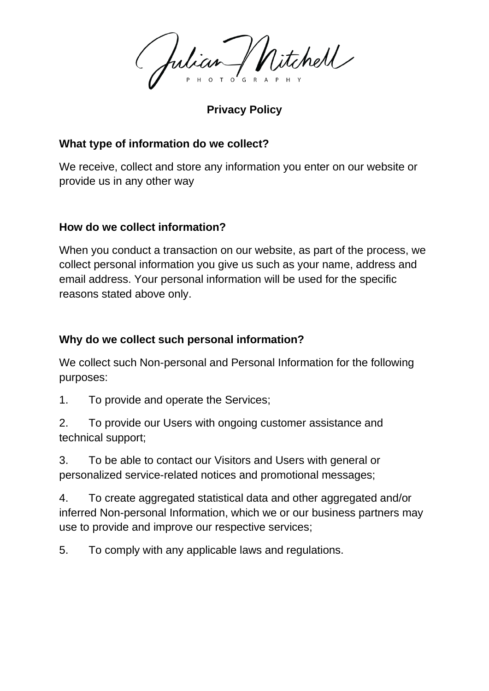Julian Witchell

**Privacy Policy**

# **What type of information do we collect?**

We receive, collect and store any information you enter on our website or provide us in any other way

# **How do we collect information?**

When you conduct a transaction on our website, as part of the process, we collect personal information you give us such as your name, address and email address. Your personal information will be used for the specific reasons stated above only.

# **Why do we collect such personal information?**

We collect such Non-personal and Personal Information for the following purposes:

1. To provide and operate the Services;

2. To provide our Users with ongoing customer assistance and technical support;

3. To be able to contact our Visitors and Users with general or personalized service-related notices and promotional messages;

4. To create aggregated statistical data and other aggregated and/or inferred Non-personal Information, which we or our business partners may use to provide and improve our respective services;

5. To comply with any applicable laws and regulations.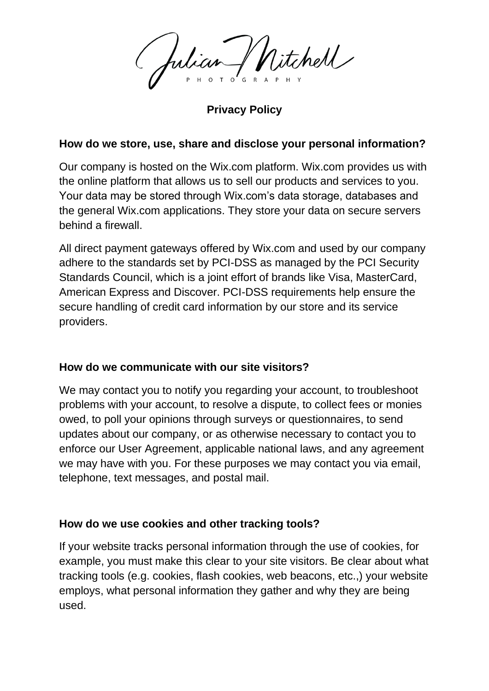fulian / Nitchell

**Privacy Policy**

### **How do we store, use, share and disclose your personal information?**

Our company is hosted on the Wix.com platform. Wix.com provides us with the online platform that allows us to sell our products and services to you. Your data may be stored through Wix.com's data storage, databases and the general Wix.com applications. They store your data on secure servers behind a firewall.

All direct payment gateways offered by Wix.com and used by our company adhere to the standards set by PCI-DSS as managed by the PCI Security Standards Council, which is a joint effort of brands like Visa, MasterCard, American Express and Discover. PCI-DSS requirements help ensure the secure handling of credit card information by our store and its service providers.

## **How do we communicate with our site visitors?**

We may contact you to notify you regarding your account, to troubleshoot problems with your account, to resolve a dispute, to collect fees or monies owed, to poll your opinions through surveys or questionnaires, to send updates about our company, or as otherwise necessary to contact you to enforce our User Agreement, applicable national laws, and any agreement we may have with you. For these purposes we may contact you via email, telephone, text messages, and postal mail.

## **How do we use cookies and other tracking tools?**

If your website tracks personal information through the use of cookies, for example, you must make this clear to your site visitors. Be clear about what tracking tools (e.g. cookies, flash cookies, web beacons, etc.,) your website employs, what personal information they gather and why they are being used.